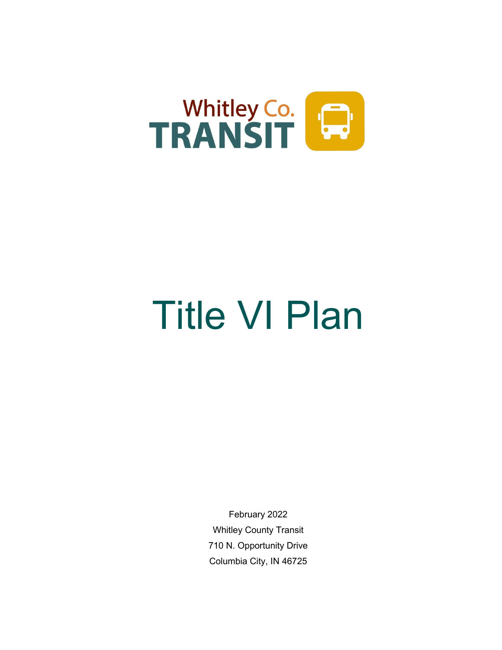

# Title VI Plan

February 2022 Whitley County Transit 710 N. Opportunity Drive Columbia City, IN 46725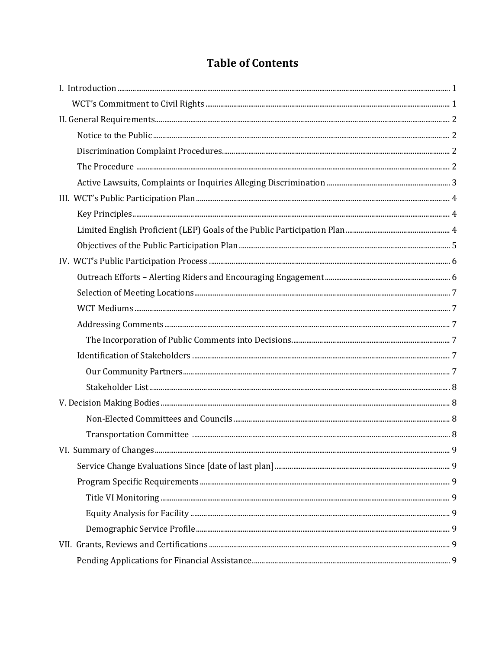# **Table of Contents**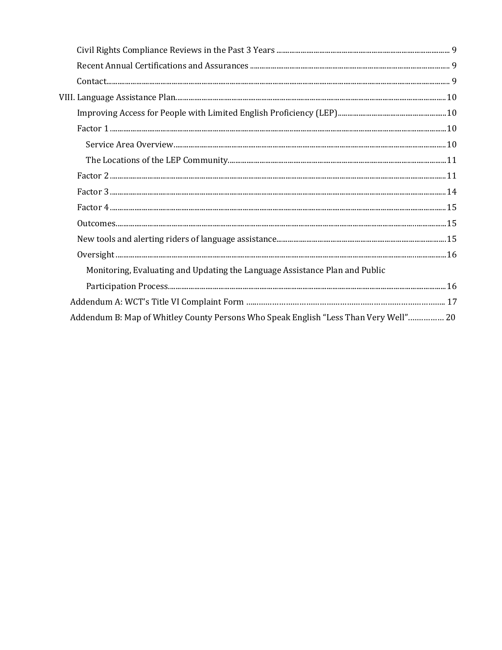| Monitoring, Evaluating and Updating the Language Assistance Plan and Public          |  |
|--------------------------------------------------------------------------------------|--|
|                                                                                      |  |
|                                                                                      |  |
| Addendum B: Map of Whitley County Persons Who Speak English "Less Than Very Well" 20 |  |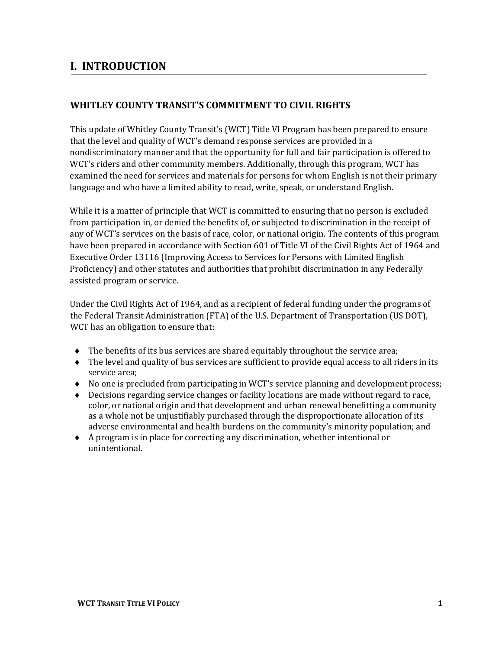# <span id="page-3-1"></span><span id="page-3-0"></span>**I. INTRODUCTION**

#### **WHITLEY COUNTY TRANSIT'S COMMITMENT TO CIVIL RIGHTS**

This update of Whitley County Transit's (WCT) Title VI Program has been prepared to ensure that the level and quality of WCT's demand response services are provided in a nondiscriminatory manner and that the opportunity for full and fair participation is offered to WCT's riders and other community members. Additionally, through this program, WCT has examined the need for services and materials for persons for whom English is not their primary language and who have a limited ability to read, write, speak, or understand English.

While it is a matter of principle that WCT is committed to ensuring that no person is excluded from participation in, or denied the benefits of, or subjected to discrimination in the receipt of any of WCT's services on the basis of race, color, or national origin. The contents of this program have been prepared in accordance with Section 601 of Title VI of the Civil Rights Act of 1964 and Executive Order 13116 (Improving Access to Services for Persons with Limited English Proficiency) and other statutes and authorities that prohibit discrimination in any Federally assisted program or service.

Under the Civil Rights Act of 1964, and as a recipient of federal funding under the programs of the Federal Transit Administration (FTA) of the U.S. Department of Transportation (US DOT), WCT has an obligation to ensure that:

- $\bullet$  The benefits of its bus services are shared equitably throughout the service area;
- ♦ The level and quality of bus services are sufficient to provide equal access to all riders in its service area;
- ♦ No one is precluded from participating in WCT's service planning and development process;
- ♦ Decisions regarding service changes or facility locations are made without regard to race, color, or national origin and that development and urban renewal benefitting a community as a whole not be unjustifiably purchased through the disproportionate allocation of its adverse environmental and health burdens on the community's minority population; and
- ♦ A program is in place for correcting any discrimination, whether intentional or unintentional.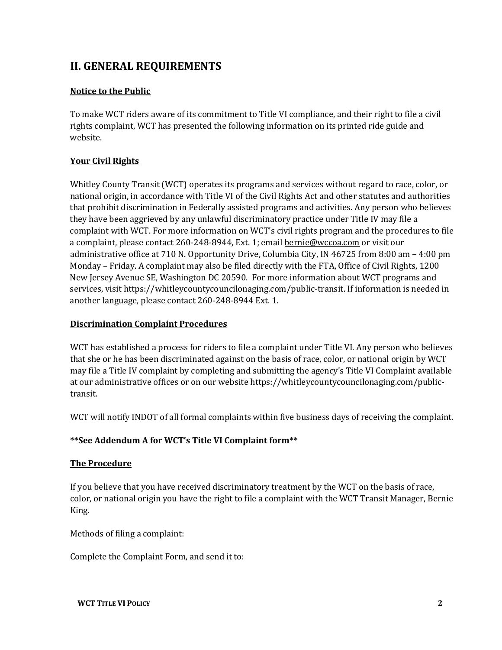# <span id="page-4-0"></span>**II. GENERAL REQUIREMENTS**

#### <span id="page-4-1"></span>**Notice to the Public**

To make WCT riders aware of its commitment to Title VI compliance, and their right to file a civil rights complaint, WCT has presented the following information on its printed ride guide and website.

#### **Your Civil Rights**

Whitley County Transit (WCT) operates its programs and services without regard to race, color, or national origin, in accordance with Title VI of the Civil Rights Act and other statutes and authorities that prohibit discrimination in Federally assisted programs and activities. Any person who believes they have been aggrieved by any unlawful discriminatory practice under Title IV may file a complaint with WCT. For more information on WCT's civil rights program and the procedures to file a complaint, please contact 260-248-8944, Ext. 1; email **bernie@wccoa.com** or visit our administrative office at 710 N. Opportunity Drive, Columbia City, IN 46725 from 8:00 am – 4:00 pm Monday – Friday. A complaint may also be filed directly with the FTA, Office of Civil Rights, 1200 New Jersey Avenue SE, Washington DC 20590. For more information about WCT programs and services, visit https://whitleycountycouncilonaging.com/public-transit. If information is needed in another language, please contact 260-248-8944 Ext. 1.

#### <span id="page-4-2"></span>**Discrimination Complaint Procedures**

WCT has established a process for riders to file a complaint under Title VI. Any person who believes that she or he has been discriminated against on the basis of race, color, or national origin by WCT may file a Title IV complaint by completing and submitting the agency's Title VI Complaint available at our administrative offices or on our website https://whitleycountycouncilonaging.com/publictransit.

WCT will notify INDOT of all formal complaints within five business days of receiving the complaint.

#### **\*\*See Addendum A for WCT's Title VI Complaint form\*\***

#### <span id="page-4-3"></span>**The Procedure**

If you believe that you have received discriminatory treatment by the WCT on the basis of race, color, or national origin you have the right to file a complaint with the WCT Transit Manager, Bernie King.

Methods of filing a complaint:

Complete the Complaint Form, and send it to: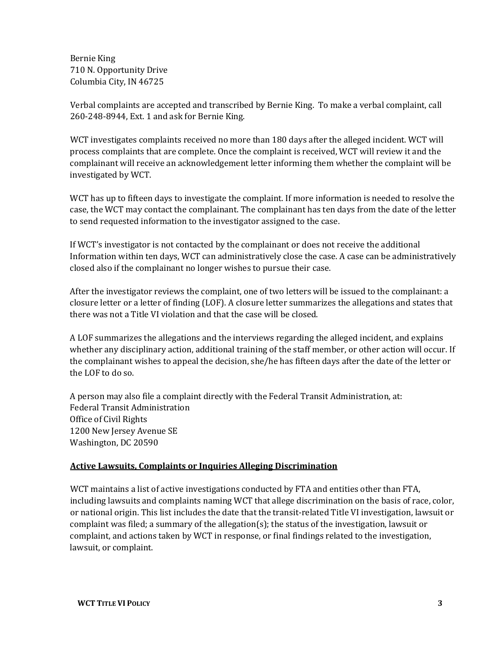Bernie King 710 N. Opportunity Drive Columbia City, IN 46725

Verbal complaints are accepted and transcribed by Bernie King. To make a verbal complaint, call 260-248-8944, Ext. 1 and ask for Bernie King.

WCT investigates complaints received no more than 180 days after the alleged incident. WCT will process complaints that are complete. Once the complaint is received, WCT will review it and the complainant will receive an acknowledgement letter informing them whether the complaint will be investigated by WCT.

WCT has up to fifteen days to investigate the complaint. If more information is needed to resolve the case, the WCT may contact the complainant. The complainant has ten days from the date of the letter to send requested information to the investigator assigned to the case.

If WCT's investigator is not contacted by the complainant or does not receive the additional Information within ten days, WCT can administratively close the case. A case can be administratively closed also if the complainant no longer wishes to pursue their case.

After the investigator reviews the complaint, one of two letters will be issued to the complainant: a closure letter or a letter of finding (LOF). A closure letter summarizes the allegations and states that there was not a Title VI violation and that the case will be closed.

A LOF summarizes the allegations and the interviews regarding the alleged incident, and explains whether any disciplinary action, additional training of the staff member, or other action will occur. If the complainant wishes to appeal the decision, she/he has fifteen days after the date of the letter or the LOF to do so.

A person may also file a complaint directly with the Federal Transit Administration, at: Federal Transit Administration Office of Civil Rights 1200 New Jersey Avenue SE Washington, DC 20590

#### <span id="page-5-0"></span>**Active Lawsuits, Complaints or Inquiries Alleging Discrimination**

WCT maintains a list of active investigations conducted by FTA and entities other than FTA, including lawsuits and complaints naming WCT that allege discrimination on the basis of race, color, or national origin. This list includes the date that the transit-related Title VI investigation, lawsuit or complaint was filed; a summary of the allegation(s); the status of the investigation, lawsuit or complaint, and actions taken by WCT in response, or final findings related to the investigation, lawsuit, or complaint.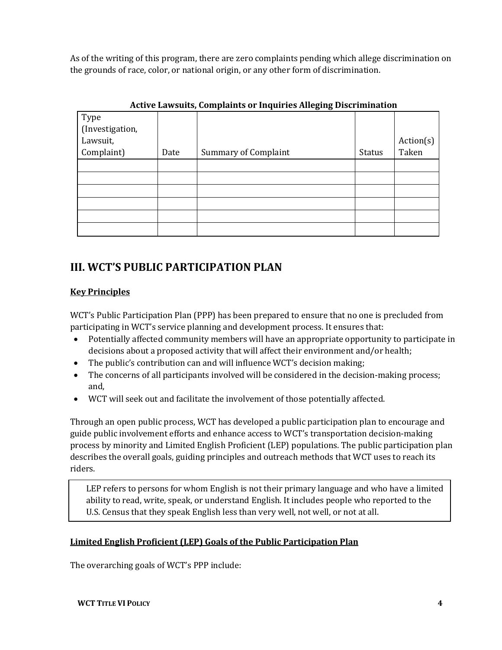As of the writing of this program, there are zero complaints pending which allege discrimination on the grounds of race, color, or national origin, or any other form of discrimination.

| Type<br>(Investigation, |      |                             |               |           |
|-------------------------|------|-----------------------------|---------------|-----------|
| Lawsuit,                |      |                             |               | Action(s) |
| Complaint)              | Date | <b>Summary of Complaint</b> | <b>Status</b> | Taken     |
|                         |      |                             |               |           |
|                         |      |                             |               |           |
|                         |      |                             |               |           |
|                         |      |                             |               |           |
|                         |      |                             |               |           |
|                         |      |                             |               |           |

#### **Active Lawsuits, Complaints or Inquiries Alleging Discrimination**

# <span id="page-6-0"></span>**III. WCT'S PUBLIC PARTICIPATION PLAN**

#### <span id="page-6-1"></span>**Key Principles**

WCT's Public Participation Plan (PPP) has been prepared to ensure that no one is precluded from participating in WCT's service planning and development process. It ensures that:

- Potentially affected community members will have an appropriate opportunity to participate in decisions about a proposed activity that will affect their environment and/or health;
- The public's contribution can and will influence WCT's decision making;
- The concerns of all participants involved will be considered in the decision-making process; and,
- WCT will seek out and facilitate the involvement of those potentially affected.

Through an open public process, WCT has developed a public participation plan to encourage and guide public involvement efforts and enhance access to WCT's transportation decision-making process by minority and Limited English Proficient (LEP) populations. The public participation plan describes the overall goals, guiding principles and outreach methods that WCT uses to reach its riders.

LEP refers to persons for whom English is not their primary language and who have a limited ability to read, write, speak, or understand English. It includes people who reported to the U.S. Census that they speak English less than very well, not well, or not at all.

#### <span id="page-6-2"></span>**Limited English Proficient (LEP) Goals of the Public Participation Plan**

The overarching goals of WCT's PPP include: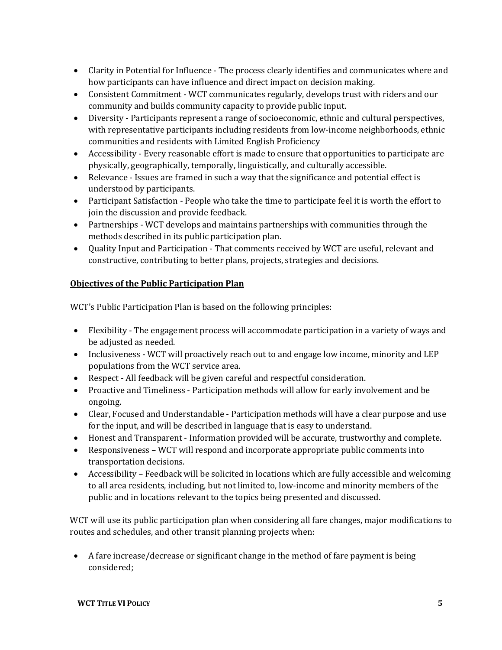- Clarity in Potential for Influence The process clearly identifies and communicates where and how participants can have influence and direct impact on decision making.
- Consistent Commitment WCT communicates regularly, develops trust with riders and our community and builds community capacity to provide public input.
- Diversity Participants represent a range of socioeconomic, ethnic and cultural perspectives, with representative participants including residents from low-income neighborhoods, ethnic communities and residents with Limited English Proficiency
- Accessibility Every reasonable effort is made to ensure that opportunities to participate are physically, geographically, temporally, linguistically, and culturally accessible.
- Relevance Issues are framed in such a way that the significance and potential effect is understood by participants.
- Participant Satisfaction People who take the time to participate feel it is worth the effort to join the discussion and provide feedback.
- Partnerships WCT develops and maintains partnerships with communities through the methods described in its public participation plan.
- Quality Input and Participation That comments received by WCT are useful, relevant and constructive, contributing to better plans, projects, strategies and decisions.

#### <span id="page-7-0"></span>**Objectives of the Public Participation Plan**

WCT's Public Participation Plan is based on the following principles:

- Flexibility The engagement process will accommodate participation in a variety of ways and be adjusted as needed.
- Inclusiveness WCT will proactively reach out to and engage low income, minority and LEP populations from the WCT service area.
- Respect All feedback will be given careful and respectful consideration.
- Proactive and Timeliness Participation methods will allow for early involvement and be ongoing.
- Clear, Focused and Understandable Participation methods will have a clear purpose and use for the input, and will be described in language that is easy to understand.
- Honest and Transparent Information provided will be accurate, trustworthy and complete.
- Responsiveness WCT will respond and incorporate appropriate public comments into transportation decisions.
- Accessibility Feedback will be solicited in locations which are fully accessible and welcoming to all area residents, including, but not limited to, low-income and minority members of the public and in locations relevant to the topics being presented and discussed.

WCT will use its public participation plan when considering all fare changes, major modifications to routes and schedules, and other transit planning projects when:

• A fare increase/decrease or significant change in the method of fare payment is being considered;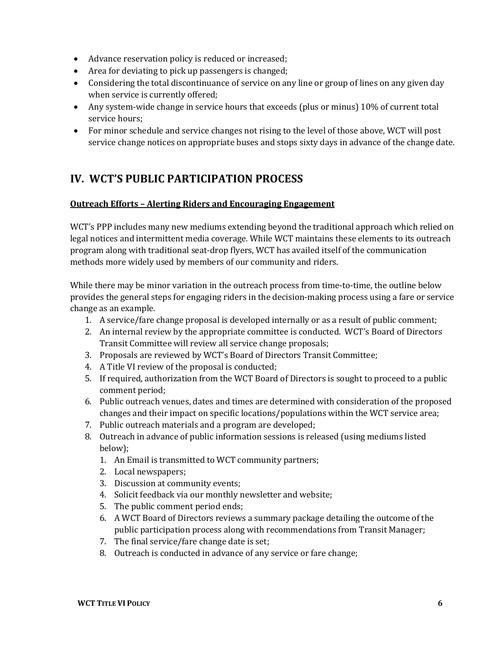- Advance reservation policy is reduced or increased;
- Area for deviating to pick up passengers is changed;
- Considering the total discontinuance of service on any line or group of lines on any given day when service is currently offered;
- Any system-wide change in service hours that exceeds (plus or minus) 10% of current total service hours;
- For minor schedule and service changes not rising to the level of those above, WCT will post service change notices on appropriate buses and stops sixty days in advance of the change date.

# <span id="page-8-0"></span>**IV. WCT'S PUBLIC PARTICIPATION PROCESS**

#### <span id="page-8-1"></span>**Outreach Efforts – Alerting Riders and Encouraging Engagement**

WCT's PPP includes many new mediums extending beyond the traditional approach which relied on legal notices and intermittent media coverage. While WCT maintains these elements to its outreach program along with traditional seat-drop flyers, WCT has availed itself of the communication methods more widely used by members of our community and riders.

While there may be minor variation in the outreach process from time-to-time, the outline below provides the general steps for engaging riders in the decision-making process using a fare or service change as an example.

- 1. A service/fare change proposal is developed internally or as a result of public comment;
- 2. An internal review by the appropriate committee is conducted. WCT's Board of Directors Transit Committee will review all service change proposals;
- 3. Proposals are reviewed by WCT's Board of Directors Transit Committee;
- 4. A Title VI review of the proposal is conducted;
- 5. If required, authorization from the WCT Board of Directors is sought to proceed to a public comment period;
- 6. Public outreach venues, dates and times are determined with consideration of the proposed changes and their impact on specific locations/populations within the WCT service area;
- 7. Public outreach materials and a program are developed;
- 8. Outreach in advance of public information sessions is released (using mediums listed below);
	- 1. An Email is transmitted to WCT community partners;
	- 2. Local newspapers;
	- 3. Discussion at community events;
	- 4. Solicit feedback via our monthly newsletter and website;
	- 5. The public comment period ends;
	- 6. A WCT Board of Directors reviews a summary package detailing the outcome of the public participation process along with recommendations from Transit Manager;
	- 7. The final service/fare change date is set;
	- 8. Outreach is conducted in advance of any service or fare change;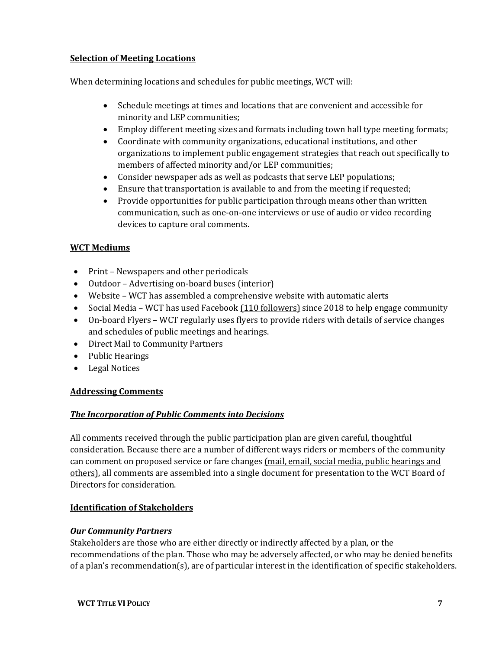#### <span id="page-9-0"></span>**Selection of Meeting Locations**

When determining locations and schedules for public meetings, WCT will:

- Schedule meetings at times and locations that are convenient and accessible for minority and LEP communities;
- Employ different meeting sizes and formats including town hall type meeting formats;
- Coordinate with community organizations, educational institutions, and other organizations to implement public engagement strategies that reach out specifically to members of affected minority and/or LEP communities;
- Consider newspaper ads as well as podcasts that serve LEP populations;
- Ensure that transportation is available to and from the meeting if requested;
- Provide opportunities for public participation through means other than written communication, such as one-on-one interviews or use of audio or video recording devices to capture oral comments.

#### <span id="page-9-1"></span>**WCT Mediums**

- Print Newspapers and other periodicals
- Outdoor Advertising on-board buses (interior)
- Website WCT has assembled a comprehensive website with automatic alerts
- Social Media WCT has used Facebook (110 followers) since 2018 to help engage community
- On-board Flyers WCT regularly uses flyers to provide riders with details of service changes and schedules of public meetings and hearings.
- Direct Mail to Community Partners
- Public Hearings
- Legal Notices

#### <span id="page-9-2"></span>**Addressing Comments**

#### <span id="page-9-3"></span>*The Incorporation of Public Comments into Decisions*

All comments received through the public participation plan are given careful, thoughtful consideration. Because there are a number of different ways riders or members of the community can comment on proposed service or fare changes (mail, email, social media, public hearings and others), all comments are assembled into a single document for presentation to the WCT Board of Directors for consideration.

#### <span id="page-9-4"></span>**Identification of Stakeholders**

#### <span id="page-9-5"></span>*Our Community Partners*

Stakeholders are those who are either directly or indirectly affected by a plan, or the recommendations of the plan. Those who may be adversely affected, or who may be denied benefits of a plan's recommendation(s), are of particular interest in the identification of specific stakeholders.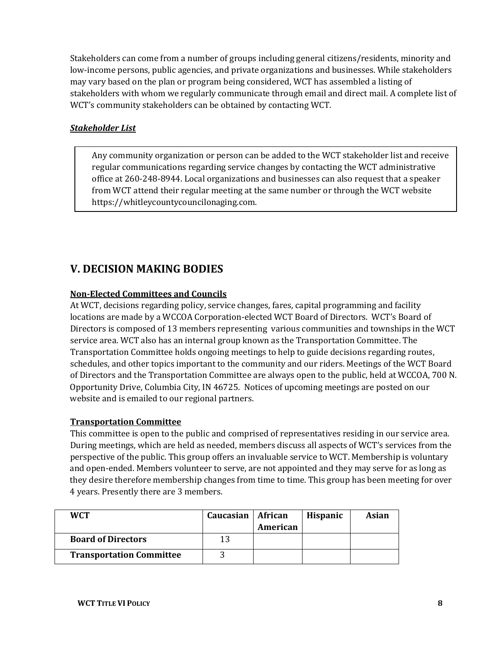Stakeholders can come from a number of groups including general citizens/residents, minority and low-income persons, public agencies, and private organizations and businesses. While stakeholders may vary based on the plan or program being considered, WCT has assembled a listing of stakeholders with whom we regularly communicate through email and direct mail. A complete list of WCT's community stakeholders can be obtained by contacting WCT.

#### <span id="page-10-0"></span>*Stakeholder List*

Any community organization or person can be added to the WCT stakeholder list and receive regular communications regarding service changes by contacting the WCT administrative office at 260-248-8944. Local organizations and businesses can also request that a speaker from WCT attend their regular meeting at the same number or through the WCT website https://whitleycountycouncilonaging.com.

# <span id="page-10-1"></span>**V. DECISION MAKING BODIES**

#### <span id="page-10-2"></span>**Non-Elected Committees and Councils**

At WCT, decisions regarding policy, service changes, fares, capital programming and facility locations are made by a WCCOA Corporation-elected WCT Board of Directors. WCT's Board of Directors is composed of 13 members representing various communities and townships in the WCT service area. WCT also has an internal group known as the Transportation Committee. The Transportation Committee holds ongoing meetings to help to guide decisions regarding routes, schedules, and other topics important to the community and our riders. Meetings of the WCT Board of Directors and the Transportation Committee are always open to the public, held at WCCOA, 700 N. Opportunity Drive, Columbia City, IN 46725. Notices of upcoming meetings are posted on our website and is emailed to our regional partners.

#### <span id="page-10-3"></span>**Transportation Committee**

This committee is open to the public and comprised of representatives residing in our service area. During meetings, which are held as needed, members discuss all aspects of WCT's services from the perspective of the public. This group offers an invaluable service to WCT. Membership is voluntary and open-ended. Members volunteer to serve, are not appointed and they may serve for as long as they desire therefore membership changes from time to time. This group has been meeting for over 4 years. Presently there are 3 members.

| <b>WCT</b>                      | Caucasian   African |          | <b>Hispanic</b> | Asian |
|---------------------------------|---------------------|----------|-----------------|-------|
|                                 |                     | American |                 |       |
| <b>Board of Directors</b>       | 12                  |          |                 |       |
| <b>Transportation Committee</b> |                     |          |                 |       |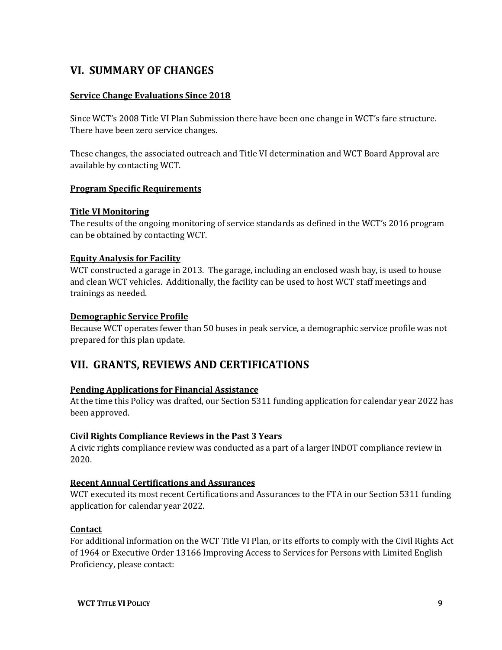## <span id="page-11-0"></span>**VI. SUMMARY OF CHANGES**

#### <span id="page-11-1"></span>**Service Change Evaluations Since 2018**

Since WCT's 2008 Title VI Plan Submission there have been one change in WCT's fare structure. There have been zero service changes.

These changes, the associated outreach and Title VI determination and WCT Board Approval are available by contacting WCT.

#### <span id="page-11-2"></span>**Program Specific Requirements**

#### <span id="page-11-3"></span>**Title VI Monitoring**

The results of the ongoing monitoring of service standards as defined in the WCT's 2016 program can be obtained by contacting WCT.

#### <span id="page-11-4"></span>**Equity Analysis for Facility**

WCT constructed a garage in 2013. The garage, including an enclosed wash bay, is used to house and clean WCT vehicles. Additionally, the facility can be used to host WCT staff meetings and trainings as needed.

#### <span id="page-11-5"></span>**Demographic Service Profile**

Because WCT operates fewer than 50 buses in peak service, a demographic service profile was not prepared for this plan update.

### <span id="page-11-6"></span>**VII. GRANTS, REVIEWS AND CERTIFICATIONS**

#### <span id="page-11-7"></span>**Pending Applications for Financial Assistance**

At the time this Policy was drafted, our Section 5311 funding application for calendar year 2022 has been approved.

#### <span id="page-11-8"></span>**Civil Rights Compliance Reviews in the Past 3 Years**

A civic rights compliance review was conducted as a part of a larger INDOT compliance review in 2020.

#### <span id="page-11-9"></span>**Recent Annual Certifications and Assurances**

WCT executed its most recent Certifications and Assurances to the FTA in our Section 5311 funding application for calendar year 2022.

#### <span id="page-11-10"></span>**Contact**

For additional information on the WCT Title VI Plan, or its efforts to comply with the Civil Rights Act of 1964 or Executive Order 13166 Improving Access to Services for Persons with Limited English Proficiency, please contact: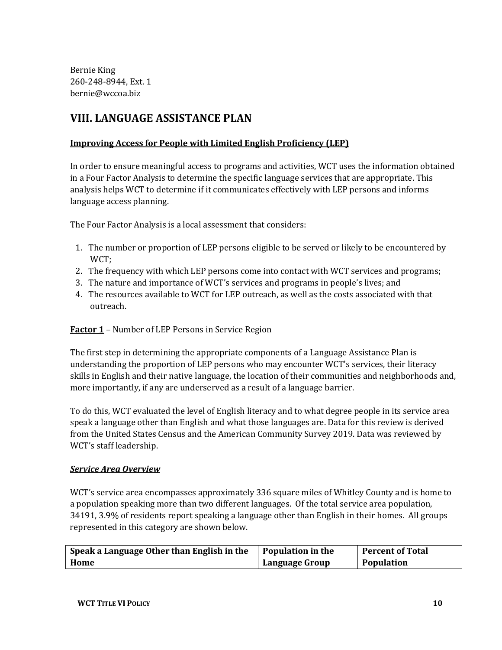Bernie King 260-248-8944, Ext. 1 bernie@wccoa.biz

# <span id="page-12-0"></span>**VIII. LANGUAGE ASSISTANCE PLAN**

#### <span id="page-12-1"></span>**Improving Access for People with Limited English Proficiency (LEP)**

In order to ensure meaningful access to programs and activities, WCT uses the information obtained in a Four Factor Analysis to determine the specific language services that are appropriate. This analysis helps WCT to determine if it communicates effectively with LEP persons and informs language access planning.

The Four Factor Analysis is a local assessment that considers:

- 1. The number or proportion of LEP persons eligible to be served or likely to be encountered by WCT;
- 2. The frequency with which LEP persons come into contact with WCT services and programs;
- 3. The nature and importance of WCT's services and programs in people's lives; and
- 4. The resources available to WCT for LEP outreach, as well as the costs associated with that outreach.

<span id="page-12-2"></span>**Factor 1** – Number of LEP Persons in Service Region

The first step in determining the appropriate components of a Language Assistance Plan is understanding the proportion of LEP persons who may encounter WCT's services, their literacy skills in English and their native language, the location of their communities and neighborhoods and, more importantly, if any are underserved as a result of a language barrier.

To do this, WCT evaluated the level of English literacy and to what degree people in its service area speak a language other than English and what those languages are. Data for this review is derived from the United States Census and the American Community Survey 2019. Data was reviewed by WCT's staff leadership.

#### <span id="page-12-3"></span>*Service Area Overview*

WCT's service area encompasses approximately 336 square miles of Whitley County and is home to a population speaking more than two different languages. Of the total service area population, 34191, 3.9% of residents report speaking a language other than English in their homes. All groups represented in this category are shown below.

| Speak a Language Other than English in the | <b>Population in the</b> | Percent of Total |
|--------------------------------------------|--------------------------|------------------|
| Home                                       | <b>Language Group</b>    | Population       |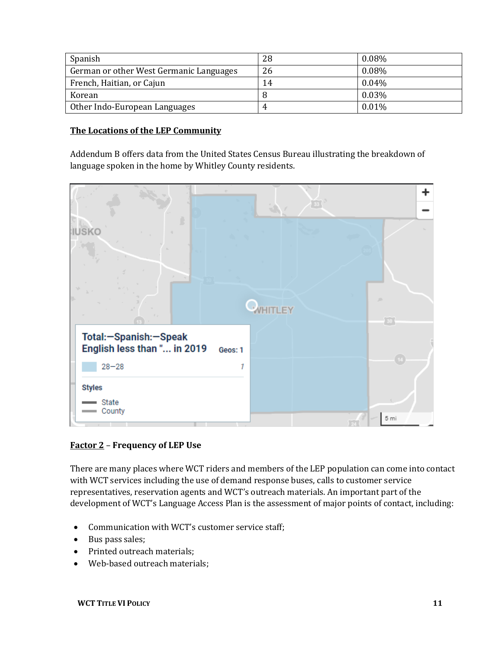| Spanish                                 | 28 | $0.08\%$ |
|-----------------------------------------|----|----------|
| German or other West Germanic Languages | 26 | $0.08\%$ |
| French, Haitian, or Cajun               | 14 | $0.04\%$ |
| Korean                                  |    | 0.03%    |
| Other Indo-European Languages           |    | 0.01%    |

#### <span id="page-13-0"></span>**The Locations of the LEP Community**

Addendum B offers data from the United States Census Bureau illustrating the breakdown of language spoken in the home by Whitley County residents.

| <b>IUSKO</b>                                                                      | 业<br><b>VHITLEY</b><br>30 |
|-----------------------------------------------------------------------------------|---------------------------|
| Total:-Spanish:-Speak<br>English less than " in 2019<br>Geos: 1<br>$28 - 28$<br>1 | $\boxed{14}$              |
| <b>Styles</b><br>State<br>County                                                  | 5 mi                      |

#### <span id="page-13-1"></span>**Factor 2** – **Frequency of LEP Use**

There are many places where WCT riders and members of the LEP population can come into contact with WCT services including the use of demand response buses, calls to customer service representatives, reservation agents and WCT's outreach materials. An important part of the development of WCT's Language Access Plan is the assessment of major points of contact, including:

- Communication with WCT's customer service staff;
- Bus pass sales;
- Printed outreach materials;
- Web-based outreach materials;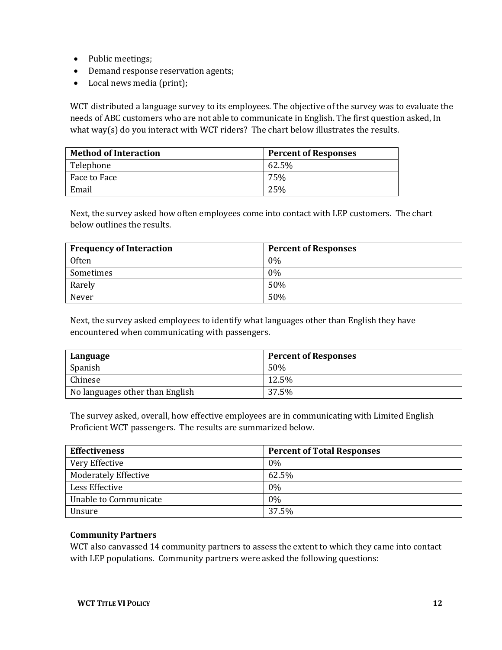- Public meetings;
- Demand response reservation agents;
- Local news media (print);

WCT distributed a language survey to its employees. The objective of the survey was to evaluate the needs of ABC customers who are not able to communicate in English. The first question asked, In what way(s) do you interact with WCT riders? The chart below illustrates the results.

| <b>Method of Interaction</b> | <b>Percent of Responses</b> |
|------------------------------|-----------------------------|
| Telephone                    | 62.5%                       |
| Face to Face                 | 75%                         |
| Email                        | 25%                         |

Next, the survey asked how often employees come into contact with LEP customers. The chart below outlines the results.

| <b>Frequency of Interaction</b> | <b>Percent of Responses</b> |
|---------------------------------|-----------------------------|
| Often                           | 0%                          |
| Sometimes                       | 0%                          |
| Rarely                          | 50%                         |
| Never                           | 50%                         |

Next, the survey asked employees to identify what languages other than English they have encountered when communicating with passengers.

| Language                        | <b>Percent of Responses</b> |
|---------------------------------|-----------------------------|
| Spanish                         | 50%                         |
| Chinese                         | 12.5%                       |
| No languages other than English | 37.5%                       |

The survey asked, overall, how effective employees are in communicating with Limited English Proficient WCT passengers. The results are summarized below.

| <b>Effectiveness</b>        | <b>Percent of Total Responses</b> |
|-----------------------------|-----------------------------------|
| Very Effective              | $0\%$                             |
| <b>Moderately Effective</b> | 62.5%                             |
| Less Effective              | $0\%$                             |
| Unable to Communicate       | $0\%$                             |
| Unsure                      | 37.5%                             |

#### **Community Partners**

WCT also canvassed 14 community partners to assess the extent to which they came into contact with LEP populations. Community partners were asked the following questions: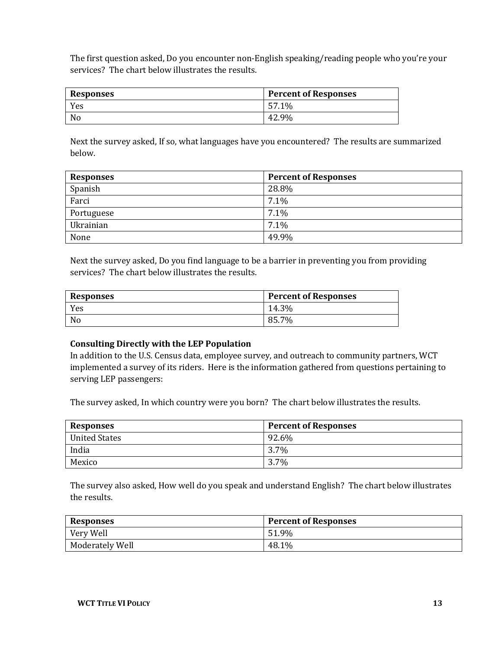The first question asked, Do you encounter non-English speaking/reading people who you're your services? The chart below illustrates the results.

| <b>Responses</b> | <b>Percent of Responses</b> |
|------------------|-----------------------------|
| Yes              | 57.1%                       |
| No               | 42.9%                       |

Next the survey asked, If so, what languages have you encountered? The results are summarized below.

| <b>Responses</b> | <b>Percent of Responses</b> |
|------------------|-----------------------------|
| Spanish          | 28.8%                       |
| Farci            | 7.1%                        |
| Portuguese       | 7.1%                        |
| Ukrainian        | 7.1%                        |
| None             | 49.9%                       |

Next the survey asked, Do you find language to be a barrier in preventing you from providing services? The chart below illustrates the results.

| <b>Responses</b> | <b>Percent of Responses</b> |  |  |  |  |
|------------------|-----------------------------|--|--|--|--|
| Yes              | 14.3%                       |  |  |  |  |
| No               | 85.7%                       |  |  |  |  |

#### **Consulting Directly with the LEP Population**

In addition to the U.S. Census data, employee survey, and outreach to community partners, WCT implemented a survey of its riders. Here is the information gathered from questions pertaining to serving LEP passengers:

The survey asked, In which country were you born? The chart below illustrates the results.

| Responses            | <b>Percent of Responses</b> |  |  |  |  |  |
|----------------------|-----------------------------|--|--|--|--|--|
| <b>United States</b> | 92.6%                       |  |  |  |  |  |
| India                | 3.7%                        |  |  |  |  |  |
| Mexico               | 3.7%                        |  |  |  |  |  |

The survey also asked, How well do you speak and understand English? The chart below illustrates the results.

| <b>Responses</b> | <b>Percent of Responses</b> |  |  |  |  |  |
|------------------|-----------------------------|--|--|--|--|--|
| Very Well        | 51.9%                       |  |  |  |  |  |
| Moderately Well  | 48.1%                       |  |  |  |  |  |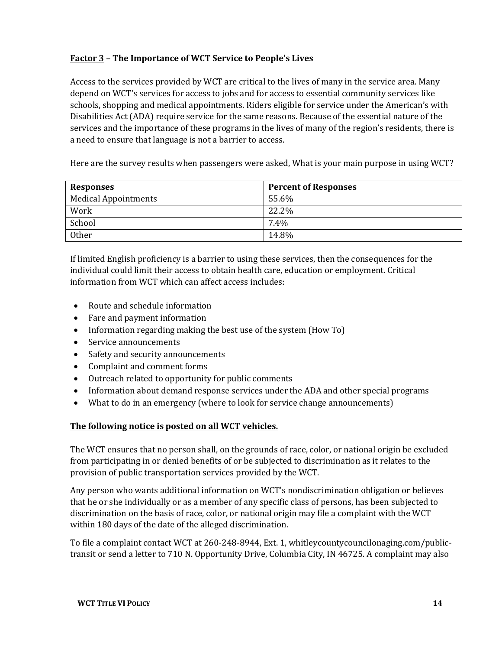#### <span id="page-16-0"></span>**Factor 3** – **The Importance of WCT Service to People's Lives**

Access to the services provided by WCT are critical to the lives of many in the service area. Many depend on WCT's services for access to jobs and for access to essential community services like schools, shopping and medical appointments. Riders eligible for service under the American's with Disabilities Act (ADA) require service for the same reasons. Because of the essential nature of the services and the importance of these programs in the lives of many of the region's residents, there is a need to ensure that language is not a barrier to access.

Here are the survey results when passengers were asked, What is your main purpose in using WCT?

| <b>Responses</b>            | <b>Percent of Responses</b> |  |  |  |  |  |
|-----------------------------|-----------------------------|--|--|--|--|--|
| <b>Medical Appointments</b> | 55.6%                       |  |  |  |  |  |
| Work                        | 22.2%                       |  |  |  |  |  |
| School                      | 7.4%                        |  |  |  |  |  |
| <b>Other</b>                | 14.8%                       |  |  |  |  |  |

If limited English proficiency is a barrier to using these services, then the consequences for the individual could limit their access to obtain health care, education or employment. Critical information from WCT which can affect access includes:

- Route and schedule information
- Fare and payment information
- Information regarding making the best use of the system (How To)
- Service announcements
- Safety and security announcements
- Complaint and comment forms
- Outreach related to opportunity for public comments
- Information about demand response services under the ADA and other special programs
- What to do in an emergency (where to look for service change announcements)

#### **The following notice is posted on all WCT vehicles.**

The WCT ensures that no person shall, on the grounds of race, color, or national origin be excluded from participating in or denied benefits of or be subjected to discrimination as it relates to the provision of public transportation services provided by the WCT.

Any person who wants additional information on WCT's nondiscrimination obligation or believes that he or she individually or as a member of any specific class of persons, has been subjected to discrimination on the basis of race, color, or national origin may file a complaint with the WCT within 180 days of the date of the alleged discrimination.

To file a complaint contact WCT at 260-248-8944, Ext. 1, whitleycountycouncilonaging.com/publictransit or send a letter to 710 N. Opportunity Drive, Columbia City, IN 46725. A complaint may also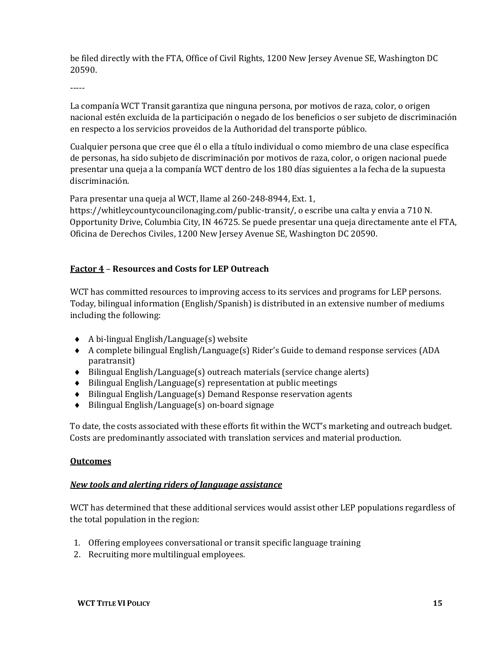be filed directly with the FTA, Office of Civil Rights, 1200 New Jersey Avenue SE, Washington DC 20590.

-----

La companía WCT Transit garantiza que ninguna persona, por motivos de raza, color, o origen nacional estén excluida de la participación o negado de los beneficios o ser subjeto de discriminación en respecto a los servicios proveidos de la Authoridad del transporte público.

Cualquier persona que cree que él o ella a título individual o como miembro de una clase específica de personas, ha sido subjeto de discriminación por motivos de raza, color, o origen nacional puede presentar una queja a la companía WCT dentro de los 180 días siguientes a la fecha de la supuesta discriminación.

Para presentar una queja al WCT, llame al 260-248-8944, Ext. 1,

https://whitleycountycouncilonaging.com/public-transit/, o escribe una calta y envia a 710 N. Opportunity Drive, Columbia City, IN 46725. Se puede presentar una queja directamente ante el FTA, Oficina de Derechos Civiles, 1200 New Jersey Avenue SE, Washington DC 20590.

#### <span id="page-17-0"></span>**Factor 4** – **Resources and Costs for LEP Outreach**

WCT has committed resources to improving access to its services and programs for LEP persons. Today, bilingual information (English/Spanish) is distributed in an extensive number of mediums including the following:

- ♦ A bi-lingual English/Language(s) website
- ♦ A complete bilingual English/Language(s) Rider's Guide to demand response services (ADA paratransit)
- ♦ Bilingual English/Language(s) outreach materials (service change alerts)
- ♦ Bilingual English/Language(s) representation at public meetings
- ♦ Bilingual English/Language(s) Demand Response reservation agents
- ♦ Bilingual English/Language(s) on-board signage

To date, the costs associated with these efforts fit within the WCT's marketing and outreach budget. Costs are predominantly associated with translation services and material production.

#### <span id="page-17-1"></span>**Outcomes**

#### <span id="page-17-2"></span>*New tools and alerting riders of language assistance*

WCT has determined that these additional services would assist other LEP populations regardless of the total population in the region:

- 1. Offering employees conversational or transit specific language training
- 2. Recruiting more multilingual employees.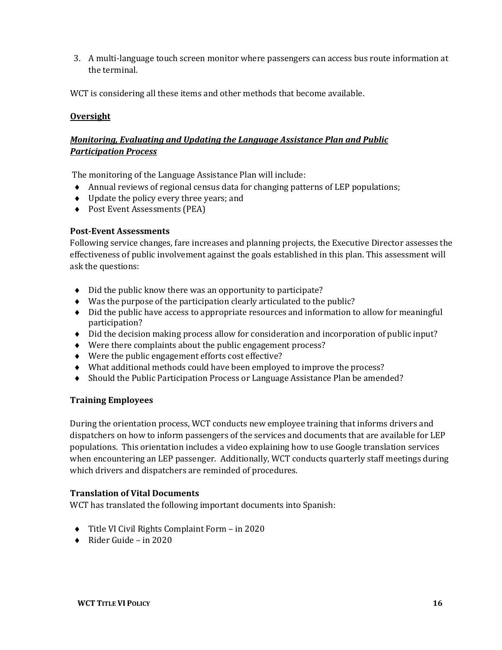3. A multi-language touch screen monitor where passengers can access bus route information at the terminal.

WCT is considering all these items and other methods that become available.

#### <span id="page-18-0"></span>**Oversight**

#### <span id="page-18-2"></span><span id="page-18-1"></span>*Monitoring, Evaluating and Updating the Language Assistance Plan and Public Participation Process*

The monitoring of the Language Assistance Plan will include:

- ♦ Annual reviews of regional census data for changing patterns of LEP populations;
- ♦ Update the policy every three years; and
- ♦ Post Event Assessments (PEA)

#### **Post-Event Assessments**

Following service changes, fare increases and planning projects, the Executive Director assesses the effectiveness of public involvement against the goals established in this plan. This assessment will ask the questions:

- ♦ Did the public know there was an opportunity to participate?
- ♦ Was the purpose of the participation clearly articulated to the public?
- ♦ Did the public have access to appropriate resources and information to allow for meaningful participation?
- ♦ Did the decision making process allow for consideration and incorporation of public input?
- ♦ Were there complaints about the public engagement process?
- ♦ Were the public engagement efforts cost effective?
- ♦ What additional methods could have been employed to improve the process?
- ♦ Should the Public Participation Process or Language Assistance Plan be amended?

#### **Training Employees**

During the orientation process, WCT conducts new employee training that informs drivers and dispatchers on how to inform passengers of the services and documents that are available for LEP populations. This orientation includes a video explaining how to use Google translation services when encountering an LEP passenger. Additionally, WCT conducts quarterly staff meetings during which drivers and dispatchers are reminded of procedures.

#### **Translation of Vital Documents**

WCT has translated the following important documents into Spanish:

- ♦ Title VI Civil Rights Complaint Form in 2020
- $\bullet$  Rider Guide in 2020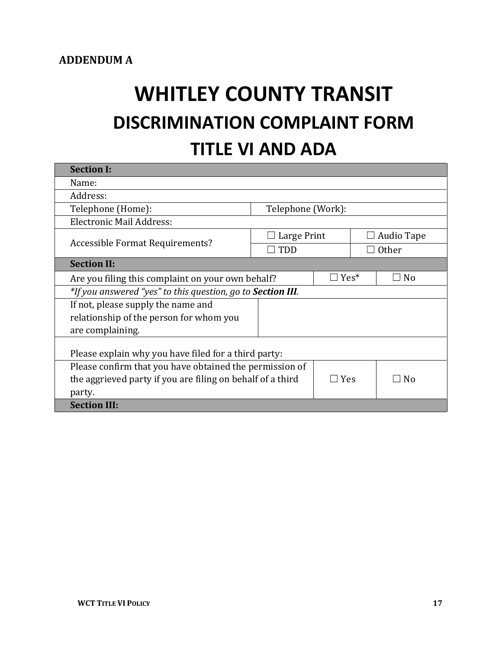# **WHITLEY COUNTY TRANSIT DISCRIMINATION COMPLAINT FORM TITLE VI AND ADA**

| <b>Section I:</b>                                                   |                    |  |                                            |            |  |  |  |
|---------------------------------------------------------------------|--------------------|--|--------------------------------------------|------------|--|--|--|
| Name:                                                               |                    |  |                                            |            |  |  |  |
| Address:                                                            |                    |  |                                            |            |  |  |  |
| Telephone (Home):                                                   | Telephone (Work):  |  |                                            |            |  |  |  |
| Electronic Mail Address:                                            |                    |  |                                            |            |  |  |  |
|                                                                     | $\Box$ Large Print |  |                                            | Audio Tape |  |  |  |
| Accessible Format Requirements?                                     | $\square$ TDD      |  |                                            | Other      |  |  |  |
| <b>Section II:</b>                                                  |                    |  |                                            |            |  |  |  |
| Are you filing this complaint on your own behalf?                   | $\Box$ Yes*        |  | N <sub>0</sub><br>$\overline{\phantom{0}}$ |            |  |  |  |
| *If you answered "yes" to this question, go to <b>Section III</b> . |                    |  |                                            |            |  |  |  |
| If not, please supply the name and                                  |                    |  |                                            |            |  |  |  |
| relationship of the person for whom you                             |                    |  |                                            |            |  |  |  |
| are complaining.                                                    |                    |  |                                            |            |  |  |  |
| Please explain why you have filed for a third party:                |                    |  |                                            |            |  |  |  |
| Please confirm that you have obtained the permission of             |                    |  |                                            |            |  |  |  |
| the aggrieved party if you are filing on behalf of a third          | $\Box$ Yes         |  | N <sub>0</sub>                             |            |  |  |  |
| party.                                                              |                    |  |                                            |            |  |  |  |
| <b>Section III:</b>                                                 |                    |  |                                            |            |  |  |  |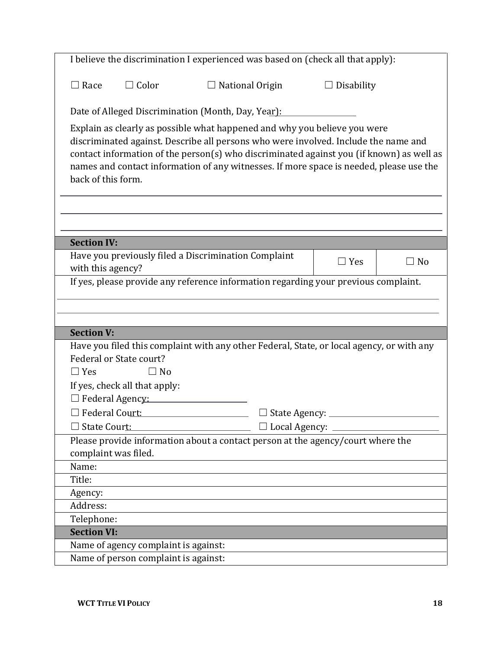|                    |                                      | I believe the discrimination I experienced was based on (check all that apply):                                                                                                                                                                                                                                                                         |                             |                   |    |
|--------------------|--------------------------------------|---------------------------------------------------------------------------------------------------------------------------------------------------------------------------------------------------------------------------------------------------------------------------------------------------------------------------------------------------------|-----------------------------|-------------------|----|
| $\Box$ Race        | $\Box$ Color                         | $\Box$ National Origin                                                                                                                                                                                                                                                                                                                                  |                             | $\Box$ Disability |    |
|                    |                                      | Date of Alleged Discrimination (Month, Day, Year):                                                                                                                                                                                                                                                                                                      |                             |                   |    |
| back of this form. |                                      | Explain as clearly as possible what happened and why you believe you were<br>discriminated against. Describe all persons who were involved. Include the name and<br>contact information of the person(s) who discriminated against you (if known) as well as<br>names and contact information of any witnesses. If more space is needed, please use the |                             |                   |    |
|                    |                                      |                                                                                                                                                                                                                                                                                                                                                         |                             |                   |    |
| <b>Section IV:</b> |                                      |                                                                                                                                                                                                                                                                                                                                                         |                             |                   |    |
| with this agency?  |                                      | Have you previously filed a Discrimination Complaint                                                                                                                                                                                                                                                                                                    |                             | $\Box$ Yes        | No |
|                    |                                      | If yes, please provide any reference information regarding your previous complaint.                                                                                                                                                                                                                                                                     |                             |                   |    |
|                    |                                      |                                                                                                                                                                                                                                                                                                                                                         |                             |                   |    |
|                    |                                      |                                                                                                                                                                                                                                                                                                                                                         |                             |                   |    |
| <b>Section V:</b>  |                                      |                                                                                                                                                                                                                                                                                                                                                         |                             |                   |    |
|                    |                                      | Have you filed this complaint with any other Federal, State, or local agency, or with any                                                                                                                                                                                                                                                               |                             |                   |    |
|                    | Federal or State court?              |                                                                                                                                                                                                                                                                                                                                                         |                             |                   |    |
| $\Box$ Yes         | $\Box$ No                            |                                                                                                                                                                                                                                                                                                                                                         |                             |                   |    |
|                    | If yes, check all that apply:        |                                                                                                                                                                                                                                                                                                                                                         |                             |                   |    |
|                    | $\Box$ Federal Agency:               |                                                                                                                                                                                                                                                                                                                                                         |                             |                   |    |
| Federal Court:     |                                      |                                                                                                                                                                                                                                                                                                                                                         | State Agency:               |                   |    |
| State Court:       |                                      |                                                                                                                                                                                                                                                                                                                                                         | $\Box$ Local Agency: $\Box$ |                   |    |
|                    | complaint was filed.                 | Please provide information about a contact person at the agency/court where the                                                                                                                                                                                                                                                                         |                             |                   |    |
| Name:              |                                      |                                                                                                                                                                                                                                                                                                                                                         |                             |                   |    |
| Title:             |                                      |                                                                                                                                                                                                                                                                                                                                                         |                             |                   |    |
| Agency:            |                                      |                                                                                                                                                                                                                                                                                                                                                         |                             |                   |    |
| Address:           |                                      |                                                                                                                                                                                                                                                                                                                                                         |                             |                   |    |
| Telephone:         |                                      |                                                                                                                                                                                                                                                                                                                                                         |                             |                   |    |
| <b>Section VI:</b> |                                      |                                                                                                                                                                                                                                                                                                                                                         |                             |                   |    |
|                    | Name of agency complaint is against: |                                                                                                                                                                                                                                                                                                                                                         |                             |                   |    |
|                    | Name of person complaint is against: |                                                                                                                                                                                                                                                                                                                                                         |                             |                   |    |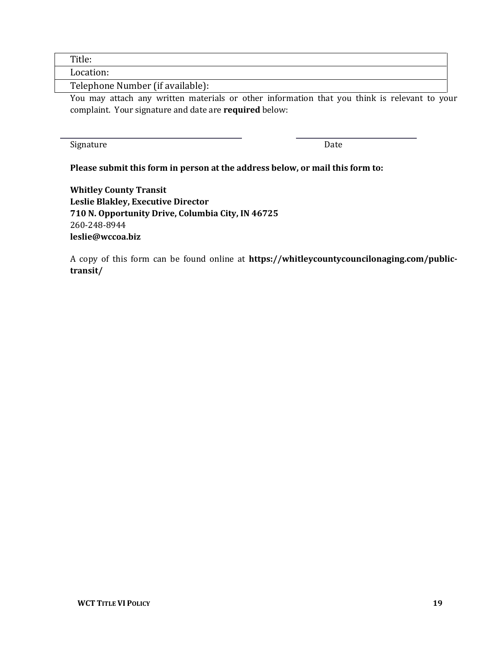Title:

Location:

Telephone Number (if available):

You may attach any written materials or other information that you think is relevant to your complaint. Your signature and date are **required** below:

Signature Date

#### **Please submit this form in person at the address below, or mail this form to:**

**Whitley County Transit Leslie Blakley, Executive Director 710 N. Opportunity Drive, Columbia City, IN 46725** 260-248-8944 **leslie@wccoa.biz**

A copy of this form can be found online at **https://whitleycountycouncilonaging.com/publictransit/**